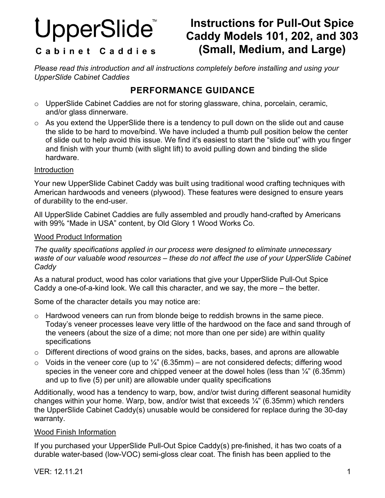# UpperSlide

# **Instructions for Pull-Out Spice Caddy Models 101, 202, and 303 (Small, Medium, and Large)**

#### Cabinet Caddies

*Please read this introduction and all instructions completely before installing and using your UpperSlide Cabinet Caddies*

# **PERFORMANCE GUIDANCE**

- o UpperSlide Cabinet Caddies are not for storing glassware, china, porcelain, ceramic, and/or glass dinnerware.
- o As you extend the UpperSlide there is a tendency to pull down on the slide out and cause the slide to be hard to move/bind. We have included a thumb pull position below the center of slide out to help avoid this issue. We find it's easiest to start the "slide out" with you finger and finish with your thumb (with slight lift) to avoid pulling down and binding the slide hardware.

#### Introduction

Your new UpperSlide Cabinet Caddy was built using traditional wood crafting techniques with American hardwoods and veneers (plywood). These features were designed to ensure years of durability to the end-user.

All UpperSlide Cabinet Caddies are fully assembled and proudly hand-crafted by Americans with 99% "Made in USA" content, by Old Glory 1 Wood Works Co.

#### Wood Product Information

*The quality specifications applied in our process were designed to eliminate unnecessary waste of our valuable wood resources – these do not affect the use of your UpperSlide Cabinet Caddy*

As a natural product, wood has color variations that give your UpperSlide Pull-Out Spice Caddy a one-of-a-kind look. We call this character, and we say, the more – the better.

Some of the character details you may notice are:

- $\circ$  Hardwood veneers can run from blonde beige to reddish browns in the same piece. Today's veneer processes leave very little of the hardwood on the face and sand through of the veneers (about the size of a dime; not more than one per side) are within quality specifications
- o Different directions of wood grains on the sides, backs, bases, and aprons are allowable
- $\circ$  Voids in the veneer core (up to  $\frac{1}{4}$ " (6.35mm) are not considered defects; differing wood species in the veneer core and chipped veneer at the dowel holes (less than  $\frac{1}{4}$ " (6.35mm) and up to five (5) per unit) are allowable under quality specifications

Additionally, wood has a tendency to warp, bow, and/or twist during different seasonal humidity changes within your home. Warp, bow, and/or twist that exceeds ¼" (6.35mm) which renders the UpperSlide Cabinet Caddy(s) unusable would be considered for replace during the 30-day warranty.

#### Wood Finish Information

If you purchased your UpperSlide Pull-Out Spice Caddy(s) pre-finished, it has two coats of a durable water-based (low-VOC) semi-gloss clear coat. The finish has been applied to the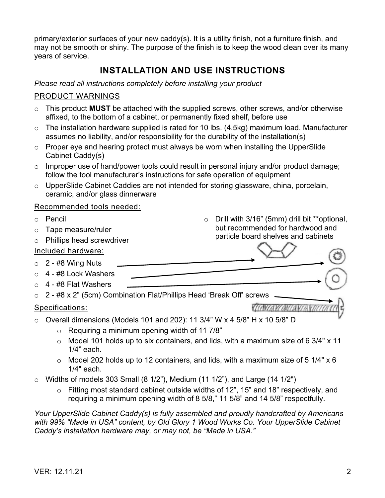primary/exterior surfaces of your new caddy(s). It is a utility finish, not a furniture finish, and may not be smooth or shiny. The purpose of the finish is to keep the wood clean over its many years of service.

# **INSTALLATION AND USE INSTRUCTIONS**

#### *Please read all instructions completely before installing your product*

#### PRODUCT WARNINGS

- o This product **MUST** be attached with the supplied screws, other screws, and/or otherwise affixed, to the bottom of a cabinet, or permanently fixed shelf, before use
- $\circ$  The installation hardware supplied is rated for 10 lbs. (4.5kg) maximum load. Manufacturer assumes no liability, and/or responsibility for the durability of the installation(s)
- $\circ$  Proper eye and hearing protect must always be worn when installing the UpperSlide Cabinet Caddy(s)
- o Improper use of hand/power tools could result in personal injury and/or product damage; follow the tool manufacturer's instructions for safe operation of equipment
- o UpperSlide Cabinet Caddies are not intended for storing glassware, china, porcelain, ceramic, and/or glass dinnerware

#### Recommended tools needed:

- o Pencil
- o Tape measure/ruler
- o Phillips head screwdriver

#### Included hardware:

- $\circ$  2 #8 Wing Nuts
- o 4 #8 Lock Washers
- $\circ$  4 #8 Flat Washers
- $\circ$  2 #8 x 2" (5cm) Combination Flat/Phillips Head 'Break Off' screws.

#### Specifications:

but recommended for hardwood and particle board shelves and cabinets

o Drill with 3/16" (5mm) drill bit \*\*optional,

- 
- $\circ$  Overall dimensions (Models 101 and 202): 11 3/4" W x 4 5/8" H x 10 5/8" D
	- $\circ$  Requiring a minimum opening width of 11 7/8"
	- $\circ$  Model 101 holds up to six containers, and lids, with a maximum size of 6 3/4" x 11 1/4" each.
	- $\circ$  Model 202 holds up to 12 containers, and lids, with a maximum size of 5 1/4" x 6 1/4" each.
- $\circ$  Widths of models 303 Small (8 1/2"), Medium (11 1/2"), and Large (14 1/2")
	- o Fitting most standard cabinet outside widths of 12", 15" and 18" respectively, and requiring a minimum opening width of 8 5/8," 11 5/8" and 14 5/8" respectfully.

*Your UpperSlide Cabinet Caddy(s) is fully assembled and proudly handcrafted by Americans*  with 99% "Made in USA" content, by Old Glory 1 Wood Works Co. Your UpperSlide Cabinet *Caddy's installation hardware may, or may not, be "Made in USA."*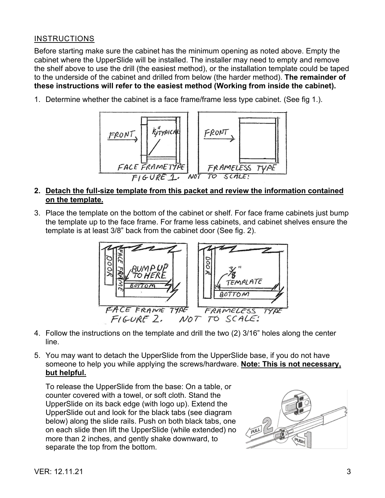#### INSTRUCTIONS

Before starting make sure the cabinet has the minimum opening as noted above. Empty the cabinet where the UpperSlide will be installed. The installer may need to empty and remove the shelf above to use the drill (the easiest method), or the installation template could be taped to the underside of the cabinet and drilled from below (the harder method). **The remainder of these instructions will refer to the easiest method (Working from inside the cabinet).**

1. Determine whether the cabinet is a face frame/frame less type cabinet. (See fig 1.).



#### **2. Detach the full-size template from this packet and review the information contained on the template.**

3. Place the template on the bottom of the cabinet or shelf. For face frame cabinets just bump the template up to the face frame. For frame less cabinets, and cabinet shelves ensure the template is at least 3/8" back from the cabinet door (See fig. 2).



- 4. Follow the instructions on the template and drill the two (2) 3/16" holes along the center line.
- 5. You may want to detach the UpperSlide from the UpperSlide base, if you do not have someone to help you while applying the screws/hardware. **Note: This is not necessary, but helpful.**

To release the UpperSlide from the base: On a table, or counter covered with a towel, or soft cloth. Stand the UpperSlide on its back edge (with logo up). Extend the UpperSlide out and look for the black tabs (see diagram below) along the slide rails. Push on both black tabs, one on each slide then lift the UpperSlide (while extended) no more than 2 inches, and gently shake downward, to separate the top from the bottom.